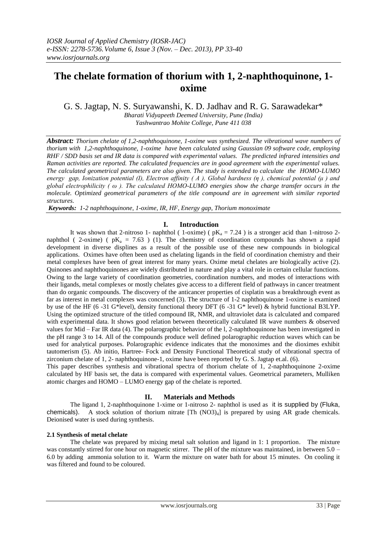# **The chelate formation of thorium with 1, 2-naphthoquinone, 1 oxime**

G. S. Jagtap, N. S. Suryawanshi, K. D. Jadhav and R. G. Sarawadekar\*

*Bharati Vidyapeeth Deemed University, Pune (India) Yashwantrao Mohite College, Pune 411 038*

*Abstract: Thorium chelate of 1,2-naphthoquinone, 1-oxime was synthesized. The vibrational wave numbers of thorium with 1,2-naphthoquinone, 1-oxime have been calculated using Gaussian 09 software code, employing RHF / SDD basis set and IR data is compared with experimental values. The predicted infrared intensities and Raman activities are reported. The calculated frequencies are in good agreement with the experimental values. The calculated geometrical parameters are also given. The study is extended to calculate the HOMO-LUMO energy gap, Ionization potential (I), Electron affinity ( A ), Global hardness (η ), chemical potential (μ ) and global electrophilicity ( ω ). The calculated HOMO-LUMO energies show the charge transfer occurs in the molecule. Optimized geometrical parameters of the title compound are in agreement with similar reported structures.*

*Keywords: 1-2 naphthoquinone, 1-oxime, IR, HF, Energy gap, Thorium monoximate*

## **I. Introduction**

It was shown that 2-nitroso 1- naphthol (1-oxime) ( $pK_a = 7.24$ ) is a stronger acid than 1-nitroso 2naphthol ( 2-oxime) (  $pK_a = 7.63$  ) (1). The chemistry of coordination compounds has shown a rapid development in diverse displines as a result of the possible use of these new compounds in biological applications. Oximes have often been used as chelating ligands in the field of coordination chemistry and their metal complexes have been of great interest for many years. Oxime metal chelates are biologically active (2). Quinones and naphthoquinones are widely distributed in nature and play a vital role in certain cellular functions. Owing to the large variety of coordination geometries, coordination numbers, and modes of interactions with their ligands, metal complexes or mostly chelates give access to a different field of pathways in cancer treatment than do organic compounds. The discovery of the anticancer properties of cisplatin was a breakthrough event as far as interest in metal complexes was concerned (3). The structure of 1-2 naphthoquinone 1-oxime is examined by use of the HF (6 -31 G\*level), density functional theory DFT (6 -31 G\* level) & hybrid functional B3LYP. Using the optimized structure of the titled compound IR, NMR, and ultraviolet data is calculated and compared with experimental data. It shows good relation between theoretically calculated IR wave numbers & observed values for Mid – Far IR data (4). The polarographic behavior of the l, 2-naphthoquinone has been investigated in the pH range 3 to 14. All of the compounds produce well defined polarographic reduction waves which can be used for analytical purposes. Polarographic evidence indicates that the monoximes and the dioximes exhibit tautomerism (5). Ab initio, Hartree- Fock and Density Functional Theoretical study of vibrational spectra of zirconium chelate of 1, 2- naphthoquinone-1, oxime have been reported by G. S. Jagtap et.al. (6).

This paper describes synthesis and vibrational spectra of thorium chelate of 1, 2-naphthoquinone 2-oxime calculated by HF basis set, the data is compared with experimental values. Geometrical parameters, Mulliken atomic charges and HOMO – LUMO energy gap of the chelate is reported.

## **II. Materials and Methods**

The ligand 1, 2-naphthoquinone 1-xime or 1-nitroso 2- naphthol is used as it is supplied by (Fluka, chemicals). A stock solution of thorium nitrate  $[Th (NO3)<sub>4</sub>]$  is prepared by using AR grade chemicals. Deionised water is used during synthesis.

## **2.1 Synthesis of metal chelate**

The chelate was prepared by mixing metal salt solution and ligand in 1: 1 proportion. The mixture was constantly stirred for one hour on magnetic stirrer. The pH of the mixture was maintained, in between 5.0 – 6.0 by adding ammonia solution to it. Warm the mixture on water bath for about 15 minutes. On cooling it was filtered and found to be coloured.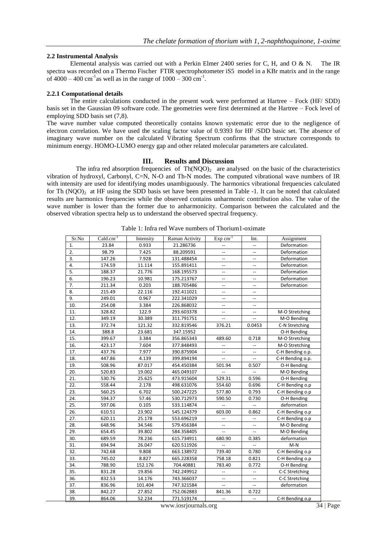#### **2.2 Instrumental Analysis**

Elemental analysis was carried out with a Perkin Elmer 2400 series for C, H, and O & N. The IR spectra was recorded on a Thermo Fischer FTIR spectrophotometer iS5 model in a KBr matrix and in the range of  $4000 - 400$  cm<sup>-1</sup> as well as in the range of  $1000 - 300$  cm<sup>-1</sup>.

#### **2.2.1 Computational details**

The entire calculations conducted in the present work were performed at Hartree – Fock (HF/ SDD) basis set in the Gaussian 09 software code. The geometries were first determined at the Hartree – Fock level of employing SDD basis set (7,8).

The wave number value computed theoretically contains known systematic error due to the negligence of electron correlation. We have used the scaling factor value of 0.9393 for HF /SDD basic set. The absence of imaginary wave number on the calculated Vibrating Spectrum confirms that the structure corresponds to minimum energy. HOMO-LUMO energy gap and other related molecular parameters are calculated.

#### **III. Results and Discussion**

The infra red absorption frequencies of  $Th(NOO)<sub>2</sub>$  are analysed on the basic of the characteristics vibration of hydroxyl, Carbonyl, C=N, N-O and Th-N modes. The computed vibrational wave numbers of IR with intensity are used for identifying modes unambiguously. The harmonics vibrational frequencies calculated for Th (NOO) $\alpha$  at HF using the SDD basis set have been presented in Table -1. It can be noted that calculated results are harmonics frequencies while the observed contains unharmonic contribution also. The value of the wave number is lower than the former due to anharmonicity. Comparison between the calculated and the observed vibration spectra help us to understand the observed spectral frequency.

| Sr.No | $Cald.cm^{-1}$ | Intensity | Raman Activity | $Exp cm^{-1}$            | Int.                     | Assignment       |
|-------|----------------|-----------|----------------|--------------------------|--------------------------|------------------|
| 1.    | 23.84          | 0.933     | 21.286736      | $\overline{\phantom{a}}$ | Ξ.                       | Deformation      |
| 2.    | 98.79          | 7.425     | 88.209591      | --                       | Ξ.                       | Deformation      |
| 3.    | 147.26         | 7.928     | 131.488454     | LL.                      | u.                       | Deformation      |
| 4.    | 174.59         | 11.114    | 155.891411     | Ш.                       | $\overline{\phantom{a}}$ | Deformation      |
| 5.    | 188.37         | 21.776    | 168.195573     | --                       | --                       | Deformation      |
| 6.    | 196.23         | 10.981    | 175.213767     | $\overline{\phantom{a}}$ | --                       | Deformation      |
| 7.    | 211.34         | 0.203     | 188.705486     | $\overline{\phantom{a}}$ | $\overline{\phantom{a}}$ | Deformation      |
| 8.    | 215.49         | 22.116    | 192.411021     | $-$                      | Ш.                       |                  |
| 9.    | 249.01         | 0.967     | 222.341029     | --                       | --                       |                  |
| 10.   | 254.08         | 3.384     | 226.868032     | LL.                      | Ξ.                       |                  |
| 11.   | 328.82         | 122.9     | 293.603378     | $\overline{\phantom{a}}$ | u.                       | M-O Stretching   |
| 12.   | 349.19         | 30.389    | 311.791751     | $\overline{\phantom{a}}$ | $\overline{\phantom{a}}$ | M-O Bending      |
| 13.   | 372.74         | 121.32    | 332.819546     | 376.21                   | 0.0453                   | C-N Stretching   |
| 14.   | 388.8          | 23.681    | 347.15952      |                          |                          | O-H Bending      |
| 15.   | 399.67         | 3.384     | 356.865343     | 489.60                   | 0.718                    | M-O Stretching   |
| 16.   | 423.17         | 7.604     | 377.848493     | $\bar{\phantom{a}}$      |                          | M-O Stretching   |
| 17.   | 437.76         | 7.977     | 390.875904     |                          |                          | C-H Bending o.p. |
| 18.   | 447.86         | 4.139     | 399.894194     | LL.                      | u.                       | C-H Bending o.p. |
| 19.   | 508.96         | 87.017    | 454.450384     | 501.94                   | 0.507                    | O-H Bending      |
| 20.   | 520.83         | 19.002    | 465.049107     |                          |                          | M-O Bending      |
| 21.   | 530.76         | 25.625    | 473.915604     | 529.31                   | 0.596                    | O-H Bending      |
| 22.   | 558.44         | 2.178     | 498.631076     | 554.60                   | 0.696                    | C-H Bending o.p  |
| 23.   | 560.25         | 6.702     | 500.247225     | 577.80                   | 0.793                    | C-H Bending o.p  |
| 24.   | 594.37         | 57.46     | 530.712973     | 590.50                   | 0.730                    | O-H Bending      |
| 25.   | 597.06         | 0.105     | 533.114874     | $\mathbb{L}^{\perp}$     |                          | deformation      |
| 26.   | 610.51         | 23.902    | 545.124379     | 603.00                   | 0.862                    | C-H Bending o.p  |
| 27.   | 620.11         | 25.178    | 553.696219     | $\overline{a}$           | u.                       | C-H Bending o.p  |
| 28.   | 648.96         | 34.546    | 579.456384     | $\overline{\phantom{a}}$ | --                       | M-O Bending      |
| 29.   | 654.45         | 39.802    | 584.358405     | Ξ.                       | Щ,                       | M-O Bending      |
| 30.   | 689.59         | 78.236    | 615.734911     | 680.90                   | 0.385                    | deformation      |
| 31.   | 694.94         | 26.047    | 620.511926     | $\sim$                   |                          | $M-N$            |
| 32.   | 742.68         | 9.808     | 663.138972     | 739.40                   | 0.780                    | C-H Bending o.p  |
| 33.   | 745.02         | 8.827     | 665.228358     | 758.18                   | 0.821                    | C-H Bending o.p  |
| 34.   | 788.90         | 152.176   | 704.40881      | 783.40                   | 0.772                    | O-H Bending      |
| 35.   | 831.28         | 19.856    | 742.249912     | $\overline{a}$           | $\overline{\phantom{a}}$ | C-C Stretching   |
| 36.   | 832.53         | 14.176    | 743.366037     | $\overline{\phantom{a}}$ | $\overline{\phantom{a}}$ | C-C Stretching   |
| 37.   | 836.96         | 101.404   | 747.321584     | $\overline{a}$           | $\overline{\phantom{a}}$ | deformation      |
| 38.   | 842.27         | 27.852    | 752.062883     | 841.36                   | 0.722                    |                  |
| 39.   | 864.06         | 52.234    | 771.519174     | $\overline{a}$           |                          | C-H Bending o.p  |

Table 1: Infra red Wave numbers of Thorium1-oximate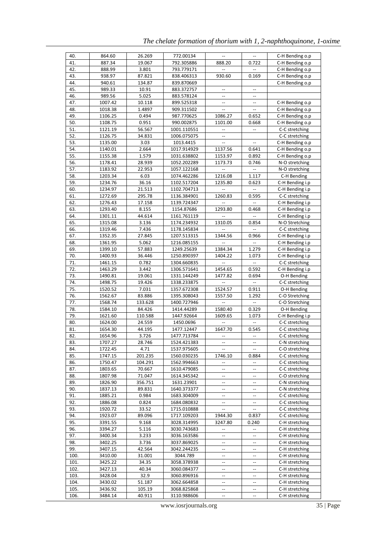| 40.        | 864.60             | 26.269            | 772.00134                  | $\overline{\phantom{a}}$            |                                                     | C-H Bending o.p                    |
|------------|--------------------|-------------------|----------------------------|-------------------------------------|-----------------------------------------------------|------------------------------------|
| 41.        | 887.34             | 19.067            | 792.305886                 | 888.20                              | 0.722                                               | C-H Bending o.p                    |
| 42.        | 888.99             | 3.801             | 793.779171                 |                                     |                                                     | C-H Bending o.p                    |
| 43.        | 938.97             | 87.821            | 838.406313                 | 930.60                              | 0.169                                               | C-H Bending o.p                    |
| 44.        | 940.61             | 134.87            | 839.870669                 |                                     |                                                     | C-H Bending o.p                    |
| 45.        | 989.33             | 10.91             | 883.372757                 |                                     |                                                     |                                    |
| 46.        | 989.56             | 5.025             | 883.578124                 | Ξ.                                  | ω.                                                  |                                    |
| 47.        | 1007.42            | 10.118            | 899.525318                 | $\overline{\phantom{a}}$            | $\hspace{0.05cm} -\hspace{0.05cm} -\hspace{0.05cm}$ | C-H Bending o.p                    |
| 48.        | 1018.38            | 1.4897            | 909.311502                 | $\overline{\phantom{a}}$            | $\overline{\phantom{a}}$                            | C-H Bending o.p                    |
| 49.        | 1106.25            | 0.494             | 987.770625                 | 1086.27                             | 0.652                                               | C-H Bending o.p                    |
| 50.        | 1108.75            | 0.951             | 990.002875                 | 1101.00                             | 0.668                                               | C-H Bending o.p                    |
| 51.        | 1121.19            | 56.567            | 1001.110551                |                                     |                                                     | C-C stretching                     |
| 52.        | 1126.75            | 34.831            | 1006.075075                | $\qquad \qquad -$                   |                                                     | C-C stretching                     |
| 53.        | 1135.00            | 3.03              | 1013.4415                  | Ξ.                                  | $\overline{\phantom{a}}$                            | C-H Bending o.p                    |
| 54.        | 1140.01            | 2.664             | 1017.914929                | 1137.56                             | 0.641                                               | C-H Bending o.p                    |
| 55.        | 1155.38            | 1.579             | 1031.638802                | 1153.97                             | 0.892                                               | C-H Bending o.p                    |
| 56.        | 1178.41            | 28.939            | 1052.202289                | 1173.73                             | 0.746                                               | N-O stretching                     |
| 57.        | 1183.92            | 22.953            | 1057.122168                |                                     |                                                     | N-O stretching                     |
| 58.        | 1203.34            | 6.03              | 1074.462286                | 1216.08                             | 1.117                                               | C-H Bending                        |
| 59.        | 1234.76            | 36.16             | 1102.517204                | 1235.80                             | 0.623                                               | C-H Bending i.p                    |
| 60.        | 1234.97            | 21.513            | 1102.704713                |                                     |                                                     | C-H Bending i.p                    |
| 61.        | 1272.69            | 295.78            | 1136.384901                | 1260.83                             | 0.595                                               | C-C stretching                     |
| 62.        | 1276.43            | 17.158            | 1139.724347                | $\overline{\phantom{a}}$            | $\hspace{0.05cm} -\hspace{0.05cm} -\hspace{0.05cm}$ | C-H Bending i.p                    |
| 63.        | 1293.40            | 8.155             | 1154.87686                 | 1293.80                             | 0.468                                               | C-H Bending i.p                    |
| 64.        | 1301.11            | 44.614            | 1161.761119                |                                     |                                                     | C-H Bending i.p                    |
| 65.        | 1315.08            | 3.136             | 1174.234932                | 1310.05                             | 0.854                                               | N-O Stretching                     |
| 66.        | 1319.46            | 7.436             | 1178.145834                |                                     |                                                     | C-C stretching                     |
| 67.        | 1352.35            | 27.845            | 1207.513315                | 1344.56                             | 0.966                                               | C-H Bending i.p                    |
| 68.        | 1361.95            | 5.062             | 1216.085155                |                                     |                                                     | C-H Bending i.p                    |
| 69.        | 1399.10            | 57.883            | 1249.25639                 | 1384.34                             | 1.279                                               |                                    |
| 70.        | 1400.93            | 36.446            | 1250.890397                | 1404.22                             | 1.073                                               | C-H Bending i.p<br>C-H Bending i.p |
| 71.        | 1461.15            | 0.782             | 1304.660835                |                                     |                                                     | C-C stretching                     |
| 72.        | 1463.29            | 3.442             |                            | 1454.65                             | 0.592                                               | C-H Bending i.p                    |
| 73.        |                    |                   | 1306.571641                |                                     | 0.694                                               |                                    |
| 74.        | 1490.81<br>1498.75 | 19.061<br>19.426  | 1331.144249<br>1338.233875 | 1477.82                             |                                                     | O-H Bending<br>C-C stretching      |
| 75.        | 1520.52            | 7.031             | 1357.672308                | 1524.57                             | 0.911                                               | O-H Bending                        |
| 76.        |                    |                   |                            |                                     |                                                     |                                    |
| 77.        | 1562.67            | 83.886            | 1395.308043                | 1557.50                             | 1.292                                               | C-O Stretching<br>C-O Stretching   |
| 78.        | 1568.74<br>1584.10 | 133.628<br>84.426 | 1400.727946<br>1414.44289  | 1580.40                             | 0.329                                               | O-H Bending                        |
|            |                    |                   |                            |                                     |                                                     |                                    |
| 79.<br>80. | 1621.60<br>1624.00 | 110.588<br>24.559 | 1447.92664<br>1450.0696    | 1609.65                             | 1.073                                               | C-H Bending i.p<br>C-C stretching  |
|            |                    | 44.195            |                            | 1647.70                             | 0.545                                               | C-C stretching                     |
| 81.        | 1654.30            |                   | 1477.12447                 |                                     |                                                     | C-C stretching                     |
| 82.<br>83. | 1654.96<br>1707.27 | 3.726<br>28.746   | 1477.713784                | $\overline{\phantom{a}}$            |                                                     | C-N stretching                     |
|            |                    |                   | 1524.421383                | $-\, -$                             | --                                                  |                                    |
| 84.        | 1722.45            | 4.71              | 1537.975605                | $\overline{\phantom{a}}$            |                                                     | C-O stretching                     |
| 85.        | 1747.15            | 201.235           | 1560.030235                | 1746.10<br>$\overline{\phantom{a}}$ | 0.884<br>--                                         | C-C stretching                     |
| 86.<br>87. | 1750.47            | 104.291           | 1562.994663                |                                     |                                                     | C-C stretching                     |
|            | 1803.65            | 70.667            | 1610.479085                |                                     |                                                     | C-C stretching                     |
| 88.        | 1807.98            | 71.047            | 1614.345342                | $\qquad \qquad -$                   | $\hspace{0.05cm} -\hspace{0.05cm} -\hspace{0.05cm}$ | C-O stretching                     |
| 89.        | 1826.90            | 356.751           | 1631.23901                 | $\overline{\phantom{a}}$            | --                                                  | C-N stretching                     |
| 90.        | 1837.13            | 89.831            | 1640.373377                | $\overline{\phantom{a}}$            |                                                     | C-N stretching                     |
| 91.        | 1885.21            | 0.984             | 1683.304009                | $\bar{\phantom{a}}$                 | Ξ.                                                  | C-C stretching                     |
| 92.        | 1886.08            | 0.824             | 1684.080832                | --                                  | --                                                  | C-C stretching                     |
| 93.        | 1920.72            | 33.52             | 1715.010888                | $-$                                 | $\overline{\phantom{a}}$                            | C-C stretching                     |
| 94.        | 1923.07            | 89.096            | 1717.109203                | 1944.30                             | 0.837                                               | C-C stretching                     |
| 95.        | 3391.55            | 9.168             | 3028.314995                | 3247.80                             | 0.240                                               | C-H stretching                     |
| 96.        | 3394.27            | 5.116             | 3030.743683                |                                     |                                                     | C-H stretching                     |

*The chelate formation of thorium with 1, 2-naphthoquinone, 1-oxime* 

www.iosrjournals.org 35 | Page

97. 3400.34 3.233 3036.163586 -- - C-H stretching 98. 3402.25 3.736 3037.869025 -- - - C-H stretching<br>99. 3407.15 42.564 3042.244235 -- - - C-H stretching 99. 3407.15 42.564 3042.244235 -- - C-H stretching<br>100. 3410.00 31.001 3044.789 - - C-H stretching

101. 3425.22 34.35 3058.378938 -- - C-H stretching 102. 3427.13 40.34 3060.084377 -- - C-H stretching 103. 3428.04 32.9 3060.896916 -- - C-H stretching 104. 3430.02 51.187 3062.664858 -- - C-H stretching 105. 3436.92 105.19 3068.825868 -- - - C-H stretching<br>106. 3484.14 40.911 3110.988606 -- - - C-H stretching

31.001 3044.789 -- C-H stretching

 $-$  C-H stretching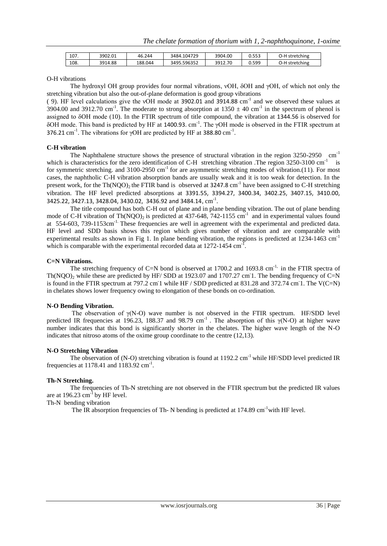| 107. | 3902.01 | 46.244  | 3484.104729 | 3904.00 | 0.553 | L<br>stretching |
|------|---------|---------|-------------|---------|-------|-----------------|
| 108. | 3914.88 | 188.044 | 3495.596352 | 3912.70 | 0.599 | L<br>stretching |

O-H vibrations

The hydroxyl OH group provides four normal vibrations, νOH, δOH and γOH, of which not only the stretching vibration but also the out-of-plane deformation is good group vibrations

(9). HF level calculations give the vOH mode at 3902.01 and 3914.88  $cm^{-1}$  and we observed these values at 3904.00 and 3912.70 cm<sup>-1</sup>. The moderate to strong absorption at  $1350 \pm 40$  cm<sup>-1</sup> in the spectrum of phenol is assigned to δOH mode (10). In the FTIR spectrum of title compound, the vibration at 1344.56 is observed for δOH mode. This band is predicted by HF at 1400.93. cm<sup>-1</sup>. The γOH mode is observed in the FTIR spectrum at 376.21 cm<sup>-1</sup>. The vibrations for  $\gamma$ OH are predicted by HF at 388.80 cm<sup>-1</sup>.

#### **C-H vibration**

The Naphthalene structure shows the presence of structural vibration in the region  $3250-2950$  cm<sup>-1</sup> which is characteristics for the zero identification of C-H stretching vibration .The region 3250-3100 cm<sup>-1</sup> is for symmetric stretching. and 3100-2950 cm<sup>-1</sup> for are asymmetric stretching modes of vibration.(11). For most cases, the naphtholic C-H vibration absorption bands are usually weak and it is too weak for detection. In the present work, for the Th(NQO)<sub>2</sub> the FTIR band is observed at 3247.8 cm<sup>-1</sup> have been assigned to C-H stretching vibration. The HF level predicted absorptions at 3391.55, 3394.27, 3400.34, 3402.25, 3407.15, 3410.00, 3425.22, 3427.13, 3428.04, 3430.02, 3436.92 and 3484.14,  $\text{cm}^{-1}$ .

The title compound has both C-H out of plane and in plane bending vibration. The out of plane bending mode of C-H vibration of Th(NQO)<sub>2</sub> is predicted at 437-648,  $742-1155$  cm<sup>-1</sup> and in experimental values found at 554-603, 739-1153cm<sup>-1.</sup> These frequencies are well in agreement with the experimental and predicted data. HF level and SDD basis shows this region which gives number of vibration and are comparable with experimental results as shown in Fig 1. In plane bending vibration, the regions is predicted at 1234-1463 cm<sup>-1</sup> which is comparable with the experimental recorded data at  $1272-1454$  cm<sup>-T</sup>.

#### **C=N Vibrations.**

The stretching frequency of C=N bond is observed at  $1700.2$  and  $1693.8$  cm<sup>-1,</sup> in the FTIR spectra of Th(NQO)<sub>2</sub> while these are predicted by HF/ SDD at 1923.07 and 1707.27 cm<sup>-1</sup>. The bending frequency of C=N is found in the FTIR spectrum at 797.2 cm 1 while HF / SDD predicted at 831.28 and 372.74 cm 1. The V(C=N) in chelates shows lower frequency owing to elongation of these bonds on co-ordination.

#### **N-O Bending Vibration.**

The observation of  $\gamma(N-O)$  wave number is not observed in the FTIR spectrum. HF/SDD level predicted IR frequencies at 196.23, 188.37 and 98.79 cm<sup>-1</sup>. The absorption of this  $\gamma$ (N-O) at higher wave number indicates that this bond is significantly shorter in the chelates. The higher wave length of the N-O indicates that nitroso atoms of the oxime group coordinate to the centre (12,13).

#### **N-O Stretching Vibration**

The observation of (N-O) stretching vibration is found at 1192.2 cm<sup>-1</sup> while HF/SDD level predicted IR frequencies at  $1178.41$  and  $1183.92$  cm<sup>-1</sup>.

### **Th-N Stretching.**

The frequencies of Th-N stretching are not observed in the FTIR spectrum but the predicted IR values are at  $196.23$  cm<sup>-1</sup> by HF level.

Th-N bending vibration

The IR absorption frequencies of Th- N bending is predicted at 174.89 cm<sup>-1</sup>with HF level.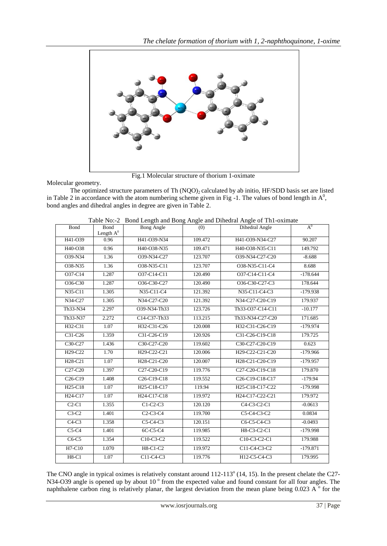

Fig.1 Molecular structure of thorium 1-oximate

Molecular geometry.

The optimized structure parameters of Th  $(NOO)_2$  calculated by ab initio, HF/SDD basis set are listed in Table 2 in accordance with the atom numbering scheme given in Fig  $-1$ . The values of bond length in  $A^0$ , bond angles and dihedral angles in degree are given in Table 2.

|                                   | 1 able No:-2                        |                                                   |         | Bond Length and Bong Angle and Dinedral Angle of Thi-oximate       |            |
|-----------------------------------|-------------------------------------|---------------------------------------------------|---------|--------------------------------------------------------------------|------------|
| Bond                              | Bond<br>Length $\operatorname{A^0}$ | <b>Bong Angle</b>                                 | (0)     | Dihedral Angle                                                     | $A^0$      |
| H41-O39                           | 0.96                                | H41-O39-N34                                       | 109.472 | H41-O39-N34-C27                                                    | 90.207     |
| H40-O38                           | 0.96                                | H40-O38-N35                                       | 109.471 | H40-O38-N35-C11                                                    | 149.792    |
| O39-N34                           | 1.36                                | O39-N34-C27                                       | 123.707 | O39-N34-C27-C20                                                    | $-8.688$   |
| O38-N35                           | 1.36                                | O38-N35-C11                                       | 123.707 | O38-N35-C11-C4                                                     | 8.688      |
| O37-C14                           | 1.287                               | O37-C14-C11                                       | 120.490 | O37-C14-C11-C4                                                     | $-178.644$ |
| O36-C30                           | 1.287                               | O36-C30-C27                                       | 120.490 | O36-C30-C27-C3                                                     | 178.644    |
| N35-C11                           | 1.305                               | N35-C11-C4                                        | 121.392 | N35-C11-C4-C3                                                      | $-179.938$ |
| N34-C27                           | 1.305                               | N34-C27-C20                                       | 121.392 | N34-C27-C20-C19                                                    | 179.937    |
| Th <sub>33</sub> -N <sub>34</sub> | 2.297                               | O39-N34-Th33                                      | 123.726 | Th33-O37-C14-C11                                                   | $-10.177$  |
| Th <sub>33</sub> -N <sub>37</sub> | 2.272                               | C14-C37-Th33                                      | 113.215 | Th33-N34-C27-C20                                                   | 171.685    |
| H32-C31                           | 1.07                                | H32-C31-C26                                       | 120.008 | H32-C31-C26-C19                                                    | $-179.974$ |
| C31-C26                           | 1.359                               | C31-C26-C19                                       | 120.926 | C31-C26-C19-C18                                                    | 179.725    |
| C30-C27                           | 1.436                               | C30-C27-C20                                       | 119.602 | C30-C27-C20-C19                                                    | 0.623      |
| H29-C22                           | 1.70                                | H29-C22-C21                                       | 120.006 | H29-C22-C21-C20                                                    | $-179.966$ |
| H28-C21                           | 1.07                                | H28-C21-C20                                       | 120.007 | H28-C21-C20-C19                                                    | $-179.957$ |
| C <sub>27</sub> -C <sub>20</sub>  | 1.397                               | C27-C20-C19                                       | 119.776 | C27-C20-C19-C18                                                    | 179.870    |
| $C26-C19$                         | 1.408                               | C <sub>26</sub> -C <sub>19</sub> -C <sub>18</sub> | 119.552 | C <sub>26</sub> -C <sub>19</sub> -C <sub>18</sub> -C <sub>17</sub> | $-179.94$  |
| H <sub>25</sub> -C <sub>18</sub>  | 1.07                                | H <sub>25</sub> -C <sub>18</sub> -C <sub>17</sub> | 119.94  | H <sub>25</sub> -C <sub>18</sub> -C <sub>17</sub> -C <sub>22</sub> | $-179.998$ |
| H24-C17                           | 1.07                                | H24-C17-C18                                       | 119.972 | H24-C17-C22-C21                                                    | 179.972    |
| $C2-C1$                           | 1.355                               | $C1-C2-C3$                                        | 120.120 | C4-C3-C2-C1                                                        | $-0.0613$  |
| $C3-C2$                           | 1.401                               | $C2-C3-C4$                                        | 119.700 | C5-C4-C3-C2                                                        | 0.0834     |
| $C4-C3$                           | 1.358                               | $C5-C4-C3$                                        | 120.151 | C6-C5-C4-C3                                                        | $-0.0493$  |
| $C5-C4$                           | 1.401                               | 6C-C5-C4                                          | 119.985 | H8-C3-C2-C1                                                        | $-179.998$ |
| $C6-C5$                           | 1.354                               | C10-C3-C2                                         | 119.522 | C10-C3-C2-C1                                                       | 179.988    |
| $H7-C10$                          | 1.070                               | H8-C1-C2                                          | 119.972 | C11-C4-C3-C2                                                       | $-179.871$ |
| $H8-C1$                           | 1.07                                | $C11-C4-C3$                                       | 119.776 | H12-C5-C4-C3                                                       | 179.995    |

Table No:-2 Bond Length and Bong Angle and Dihedral Angle of Th1-oximate

The CNO angle in typical oximes is relatively constant around  $112-113^{\circ}$  (14, 15). In the present chelate the C27-N34-O39 angle is opened up by about 10<sup>°</sup> from the expected value and found constant for all four angles. The naphthalene carbon ring is relatively planar, the largest deviation from the mean plane being  $0.023 \text{ A}^{\circ}$  for the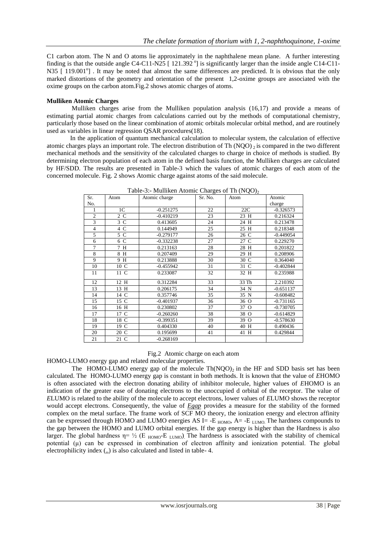C1 carbon atom. The N and O atoms lie approximately in the naphthalene mean plane. A further interesting finding is that the outside angle C4-C11-N25 [121.392<sup>o</sup>] is significantly larger than the inside angle C14-C11-N35 [ 119.001<sup>°</sup>]. It may be noted that almost the same differences are predicted. It is obvious that the only marked distortions of the geometry and orientation of the present 1,2-oxime groups are associated with the oxime groups on the carbon atom.Fig.2 shows atomic charges of atoms.

## **Mulliken Atomic Charges**

 Mulliken charges arise from the Mulliken population analysis (16,17) and provide a means of estimating [partial atomic charges](http://en.wikipedia.org/wiki/Partial_charge) from calculations carried out by the methods of [computational chemistry,](http://en.wikipedia.org/wiki/Computational_chemistry) particularly those based on the [linear combination of atomic orbitals molecular orbital method,](http://en.wikipedia.org/wiki/Linear_combination_of_atomic_orbitals_molecular_orbital_method) and are routinely used as variables in linear regression QSAR procedures(18).

In the application of quantum mechanical calculation to molecular system, the calculation of effective atomic charges plays an important role. The electron distribution of Th  $(NOO)_2$  is compared in the two different mechanical methods and the sensitivity of the calculated charges to charge in choice of methods is studied. By determining electron population of each atom in the defined basis function, the Mulliken charges are calculated by HF/SDD. The results are presented in Table-3 which the values of atomic charges of each atom of the concerned molecule. Fig. 2 shows Atomic charge against atoms of the said molecule.

| Sr.            | Atom           | Atomic charge | Sr. No. | Atom  | Atomic      |
|----------------|----------------|---------------|---------|-------|-------------|
| No.            |                |               |         |       | charge      |
| 1              | 1 <sup>C</sup> | $-0.251275$   | 22      | 22C   | $-0.326573$ |
| $\overline{2}$ | 2 C            | $-0.410219$   | 23      | 23 H  | 0.216324    |
| 3              | $3 \text{ C}$  | 0.413605      | 24      | 24 H  | 0.213478    |
| $\overline{4}$ | 4 C            | 0.144949      | 25      | 25 H  | 0.218348    |
| 5              | 5 C            | $-0.279177$   | 26      | 26 C  | $-0.449054$ |
| 6              | 6 C            | $-0.332238$   | 27      | 27 C  | 0.229270    |
| $\overline{7}$ | 7 H            | 0.213163      | 28      | 28 H  | 0.201822    |
| 8              | 8 H            | 0.207409      | 29      | 29 H  | 0.208906    |
| 9              | 9 H            | 0.213888      | 30      | 30 C  | 0.364040    |
| 10             | 10 C           | $-0.455942$   | 31      | 31 C  | $-0.402844$ |
| 11             | 11 C           | 0.233087      | 32      | 32 H  | 0.235988    |
| 12             | 12 H           | 0.312284      | 33      | 33 Th | 2.210392    |
| 13             | 13 H           | 0.206175      | 34      | 34 N  | $-0.651137$ |
| 14             | 14 C           | 0.357746      | 35      | 35 N  | $-0.608482$ |
| 15             | 15 C           | $-0.401937$   | 36      | 36 O  | $-0.731165$ |
| 16             | 16 H           | 0.230802      | 37      | 37 O  | $-0.730705$ |
| 17             | 17 C           | $-0.260260$   | 38      | 38 O  | $-0.614829$ |
| 18             | 18 C           | $-0.399351$   | 39      | 39 O  | $-0.578630$ |
| 19             | 19 C           | 0.404330      | 40      | 40 H  | 0.490436    |
| 20             | 20 C           | 0.195699      | 41      | 41 H  | 0.429844    |
| 21             | 21 C           | $-0.268169$   |         |       |             |

Table-3:- Mulliken Atomic Charges of Th $(NOO)_{2}$ 

## Fig.2 Atomic charge on each atom

HOMO-LUMO energy gap and related molecular properties.

The HOMO-LUMO energy gap of the molecule  $Th(NOO)_2$  in the HF and SDD basis set has been calculated. The HOMO-LUMO energy gap is constant in both methods. It is known that the value of *E*HOMO is often associated with the electron donating ability of inhibitor molecule, higher values of *E*HOMO is an indication of the greater ease of donating electrons to the unoccupied d orbital of the receptor. The value of *E*LUMO is related to the ability of the molecule to accept electrons, lower values of *E*LUMO shows the receptor would accept electrons. Consequently, the value of *Egap* provides a measure for the stability of the formed complex on the metal surface. The frame work of SCF MO theory, the ionization energy and electron affinity can be expressed through HOMO and LUMO energies AS I= -E  $_{HOMO}$ , A= -E  $_{LUMO}$ . The hardness compounds to the gap between the HOMO and LUMO orbital energies. If the gap energy is higher than the Hardness is also larger. The global hardness  $\eta = \frac{1}{2}$  (E HOMO-E LUMO). The hardness is associated with the stability of chemical potential (μ) can be expressed in combination of electron affinity and ionization potential. The global electrophilicity index  $\binom{1}{0}$  is also calculated and listed in table-4.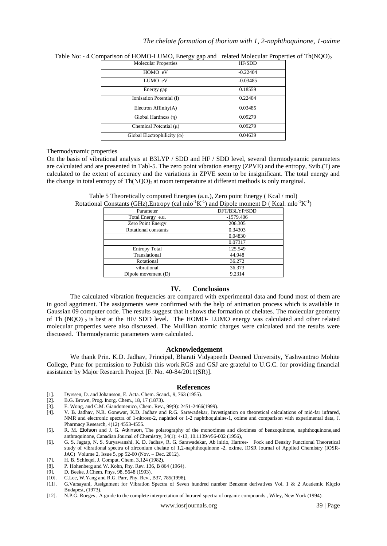| <b>Molecular Properties</b>        | HF/SDD     |
|------------------------------------|------------|
| HOMO eV                            | $-0.22404$ |
| LUMO eV                            | $-0.03485$ |
| Energy gap                         | 0.18559    |
| Ionisation Potential (I)           | 0.22404    |
| Electron $Affinity(A)$             | 0.03485    |
| Global Hardness (n)                | 0.09279    |
| Chemical Potential $(\mu)$         | 0.09279    |
| Global Electrophilicity $(\omega)$ | 0.04639    |

Table No: - 4 Comparison of HOMO-LUMO, Energy gap and related Molecular Properties of Th(NQO)<sub>2</sub>

#### Thermodynamic properties

On the basis of vibrational analysis at B3LYP / SDD and HF / SDD level, several thermodynamic parameters are calculated and are presented in Tabl-5. The zero point vibration energy (ZPVE) and the entropy, Svib.(T) are calculated to the extent of accuracy and the variations in ZPVE seem to be insignificant. The total energy and the change in total entropy of  $Th(NOO)_2$  at room temperature at different methods is only marginal.

| $\sim$               |               |
|----------------------|---------------|
| Parameter            | DFT/B3LYP/SDD |
| Total Energy e.u.    | $-1579.406$   |
| Zero Point Energy    | 206.305       |
| Rotational constants | 0.34303       |
|                      | 0.04830       |
|                      | 0.07317       |
| <b>Entropy Total</b> | 125.549       |
| Translational        | 44.948        |
| Rotational           | 36.272        |
| vibrational          | 36.373        |
| Dipole movement (D)  | 9.2314        |
|                      |               |

Table 5 Theoretically computed Energies (a.u.), Zero point Energy ( Kcal / mol) Rotational Constants (GHz), Entropy (cal mlo<sup>-1</sup>K<sup>-1</sup>) and Dipole moment D (Kcal. mlo<sup>-1</sup>K<sup>-1</sup>)

## **IV. Conclusions**

 The calculated vibration frequencies are compared with experimental data and found most of them are in good aggriment. The assignments were confirmed with the help of animation process which is available in Gaussian 09 computer code. The results suggest that it shows the formation of chelates. The molecular geometry of Th (NQO)  $_2$  is best at the HF/ SDD level. The HOMO- LUMO energy was calculated and other related molecular properties were also discussed. The Mullikan atomic charges were calculated and the results were discussed. Thermodynamic parameters were calculated.

#### **Acknowledgement**

We thank Prin. K.D. Jadhav, Principal, Bharati Vidyapeeth Deemed University, Yashwantrao Mohite College, Pune for permission to Publish this work.RGS and GSJ are grateful to U.G.C. for providing financial assistance by Major Research Project [F. No. 40-84/2011(SR)].

## **References**

- [1]. Dyrssen, D. and Johansson, E. Acta. Chem. Scand., 9, 763 (1955).
- [2]. B.G. Brown, Prog. Inorg. Chem., 18, 17 (1873).<br>[3]. E. Wong, and C.M. Giandomenico, Chem. Rev.
- E. Wong, and C.M. Giandomenico, Chem. Rev., 99(9): 2451-2466(1999).
- [4]. V. B. Jadhav, N.R. Gonewar, K.D. Jadhav and R.G. Sarawadekar, Investigation on theoretical calculations of mid-far infrared, NMR and electronic spectra of 1-nitroso-2, naphthol or 1-2 naphthoquinine-1, oxime and comparison with experimental data, J. Pharmacy Research, 4(12) 4553-4555.
- [5]. R. M. Elofson and J. G. Atkinson, The polarography of the monoximes and dioximes of benzoquinone, naphthoquinone,and anthraquinone, Canadian Journal of Chemistry, 34(1): 4-13, 10.1139/v56-002 (1956),
- [6]. G. S. Jagtap, N. S. Suryawanshi, K. D. Jadhav, R. G. Sarawadekar, Ab initio, Hartree- Fock and Density Functional Theoretical study of vibrational spectra of zirconium chelate of 1,2-naphthoquinone -2, oxime, IOSR Journal of Applied Chemistry (IOSR-JAC) Volume 2, Issue 5, pp 52-60 (Nov. – Dec. 2012),
- [7]. H. B. Schleqel, J. Comput. Chem. 3,124 (1982).
- [8]. P. Hohenberg and W. Kohn, Phy. Rev. 136, B 864 (1964).<br>[9]. D. Beeke, J.Chem. Phys. 98, 5648 (1993).
- D. Beeke, J.Chem. Phys, 98, 5648 (1993).
- [10]. C.Lee, W.Yang and R.G. Parr, Phy. Rev., B37, 785(1998).
- [11]. G.Varsayani, Assignment for Vibration Spectra of Seven hundred number Benzene derivatives Vol. 1 & 2 Academic Kiqclo Budapest, (1973).
- [12]. N.P.G. Roeges , A guide to the complete interpretation of Intrared spectra of organic compounds , Wiley, New York (1994).